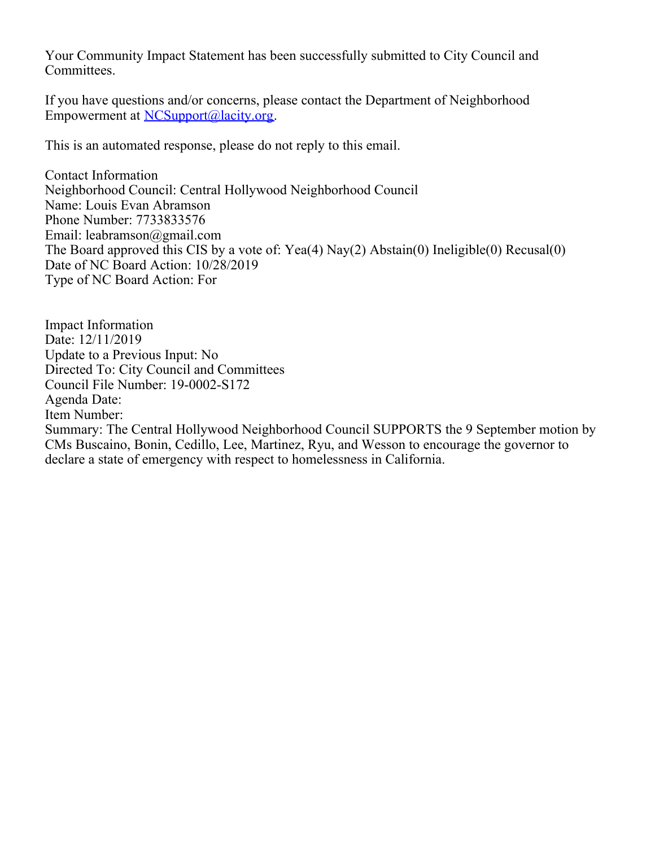Your Community Impact Statement has been successfully submitted to City Council and Committees.

If you have questions and/or concerns, please contact the Department of Neighborhood Empowerment at [NCSupport@lacity.org](mailto:NCSupport@lacity.org).

This is an automated response, please do not reply to this email.

Contact Information Neighborhood Council: Central Hollywood Neighborhood Council Name: Louis Evan Abramson Phone Number: 7733833576 Email: leabramson@gmail.com The Board approved this CIS by a vote of: Yea(4) Nay(2) Abstain(0) Ineligible(0) Recusal(0) Date of NC Board Action: 10/28/2019 Type of NC Board Action: For

Impact Information Date: 12/11/2019 Update to a Previous Input: No Directed To: City Council and Committees Council File Number: 19-0002-S172 Agenda Date: Item Number: Summary: The Central Hollywood Neighborhood Council SUPPORTS the 9 September motion by CMs Buscaino, Bonin, Cedillo, Lee, Martinez, Ryu, and Wesson to encourage the governor to declare a state of emergency with respect to homelessness in California.